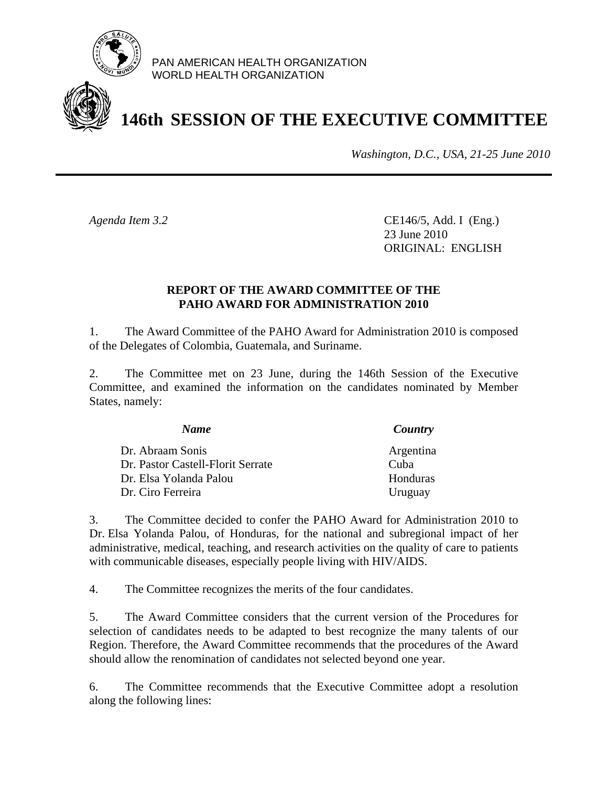

PAN AMERICAN HEALTH ORGANIZATION WORLD HEALTH ORGANIZATION

# **146th SESSION OF THE EXECUTIVE COMMITTEE**

*Washington, D.C., USA, 21-25 June 2010*

*Agenda Item 3.2* CE146/5, Add. I (Eng.) 23 June 2010 ORIGINAL: ENGLISH

## **REPORT OF THE AWARD COMMITTEE OF THE PAHO AWARD FOR ADMINISTRATION 2010**

1. The Award Committee of the PAHO Award for Administration 2010 is composed of the Delegates of Colombia, Guatemala, and Suriname.

2. The Committee met on 23 June, during the 146th Session of the Executive Committee, and examined the information on the candidates nominated by Member States, namely:

| <b>Name</b>                       | Country   |
|-----------------------------------|-----------|
| Dr. Abraam Sonis                  | Argentina |
| Dr. Pastor Castell-Florit Serrate | Cuba      |
| Dr. Elsa Yolanda Palou            | Honduras  |
| Dr. Ciro Ferreira                 | Uruguay   |

3. The Committee decided to confer the PAHO Award for Administration 2010 to Dr. Elsa Yolanda Palou, of Honduras, for the national and subregional impact of her administrative, medical, teaching, and research activities on the quality of care to patients with communicable diseases, especially people living with HIV/AIDS.

4. The Committee recognizes the merits of the four candidates.

5. The Award Committee considers that the current version of the Procedures for selection of candidates needs to be adapted to best recognize the many talents of our Region. Therefore, the Award Committee recommends that the procedures of the Award should allow the renomination of candidates not selected beyond one year.

6. The Committee recommends that the Executive Committee adopt a resolution along the following lines: